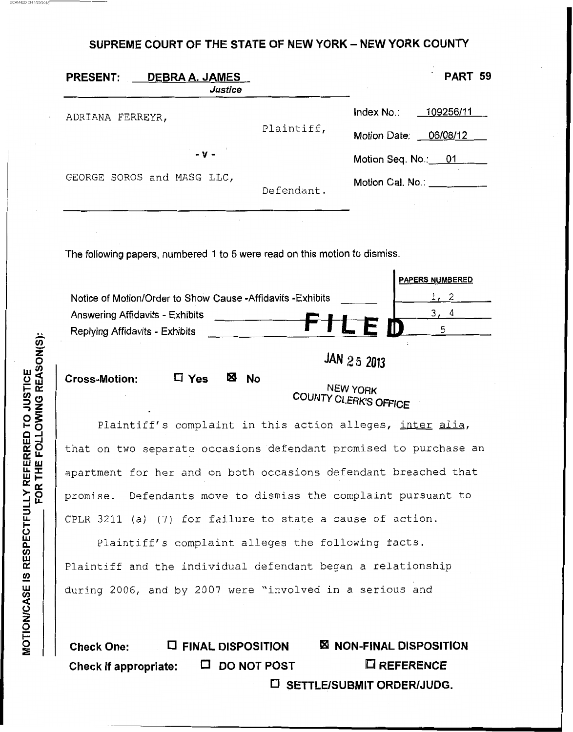**SUPREME COURT OF THE STATE OF NEW YORK** - **NEW YORK COUNTY** 

| <b>PRESENT:</b><br>DEBRA A. JAMES<br>Justice |            | PART 59                 |
|----------------------------------------------|------------|-------------------------|
| ADRIANA FERREYR,                             |            | 109256/11<br>Index No.: |
|                                              | Plaintiff, | Motion Date: 06/08/12   |
| $-V -$                                       |            | Motion Seq. No.: 01     |
| GEORGE SOROS and MASG LLC,                   | Defendant. | Motion Cal. No.:        |

The following papers, numbered 1 to **5** were read on this motion to dismiss.

|                                                            | <b>PAPERS NUMBERED</b> |
|------------------------------------------------------------|------------------------|
| Notice of Motion/Order to Show Cause -Affidavits -Exhibits |                        |
| Answering Affidavits - Exhibits                            |                        |
| Replying Affidavits - Exhibits                             | FМ                     |
|                                                            |                        |

**Cross-Motion:** 

**D** Yes **E**<sup>3</sup> No **D** NEW YORK **COUN7y** *CLERK'S* **OFFICE** 

Plaintiff's complaint in this action alleges, <u>inter alia</u>, that on two separate occasions defendant promised to purchase an apartment for her and on both occasions defendant breached that promise. Defendants move to dismiss the complaint pursuant to CPLR 3211 (a) (7) for failure to state a cause of action.

Plaintiff's complaint alleges the following facts. Plaintiff and the individual defendant began a relationship during 2006, and by 2007 were "involved in a serious and

**Check One:** *0* **FINAL DISPOSITION NON-FINAL DISPOSITION Check if appropriate: □ DO NOT POST □ REFERENCE D** SETTLE/SUBMIT ORDER/JUDG.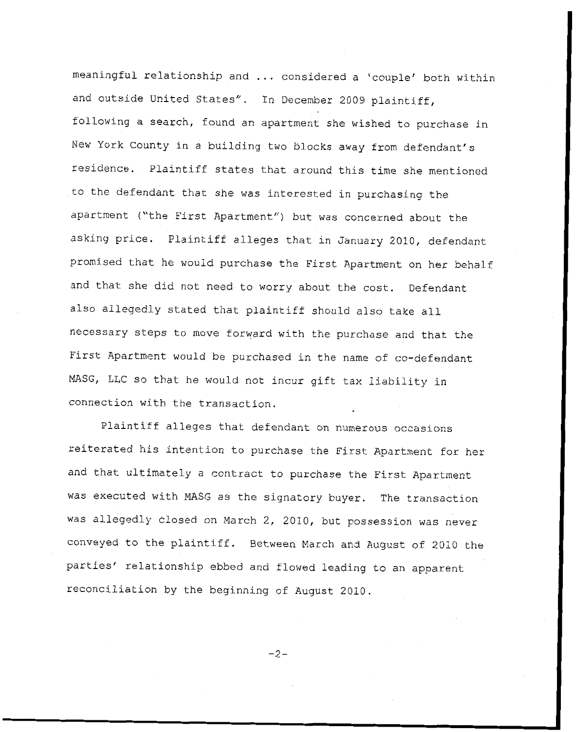meaningful relationship and ... considered a 'couple' both within and outside United States". In December 2009 plaintiff, following a search, found an apartment she wished to purchase in New York County in a building two blocks away from defendant's residence. Plaintiff states that around this time **she** mentioned to the defendant that she was interested in purchasing the apartment ("the First Apartment") but was concerned about the asking price. Plaintiff alleges that in January 2010, defendant promised that he would purchase the First Apartment on her behalf and that she did not need to worry about the cost. Defendant also allegedly stated that plaintiff should also take all necessary steps to move forward with the purchase and that the First Apartment would be purchased in the name of co-defendant MASG, LLC so that he would not incur gift tax liability in connection with the transaction.

Plaintiff alleges that defendant on numerous occasions reiterated his intention to purchase the First Apartment *for* her and that ultimately a contract to purchase **the** First Apartment was executed with MASG as the signatory buyer. The transaction was allegedly closed on March 2, 2010, but possession was never conveyed to the plaintiff. Between March and August of 2010 the parties' relationship ebbed and flowed leading to an apparent reconciliation by the beginning of August 2010.

*-2-*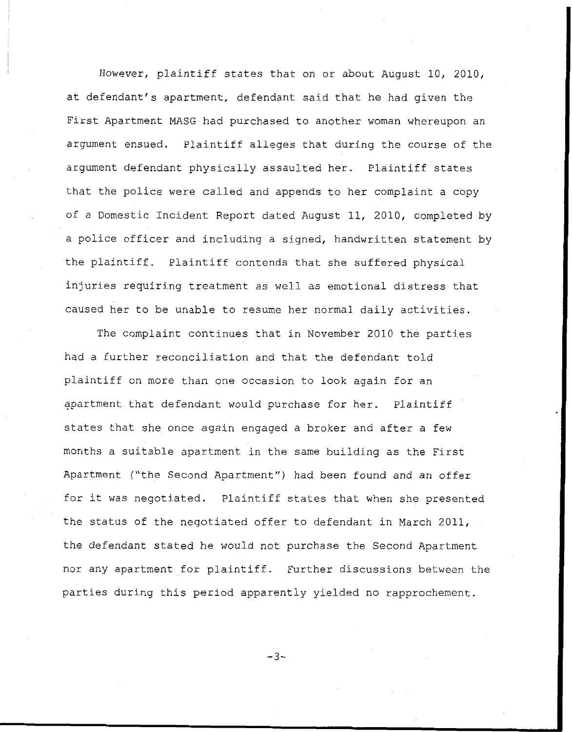However, plaintiff states that on or about August 10, 2010, at defendant's apartment, defendant said that **he** had given the First Apartment MASG had purchased to another woman whereupon an argument ensued. Plaintiff alleges that during the course of the argument defendant physically assaulted her. Plaintiff states that the police were called and appends to her complaint a copy of a Domestic Incident Report dated August 11, 2010, completed by a police officer and including a signed, handwritten statement by the plaintiff. Plaintiff contends that she suffered physical injuries requiring treatment as well as emotional distress that caused her to be unable to resume her normal daily activities.

The complaint continues that in November 2010 the parties had a further reconciliation and that the defendant told plaintiff on more than one occasion to look again for an apartment that defendant would purchase for her. Plaintiff states that she once again engaged a broker and after a few months a suitable apartment in the same building as the First Apartment ("the Second Apartment") had been found and an offer for it was negotiated. Plaintiff states that when she presented the status of the negotiated offer to defendant in March 2011, the defendant **stated** he would not purchase the Second Apartment nor any apartment for plaintiff. Further discussions between the parties during this period apparently yielded no rapprochement.

*-3-*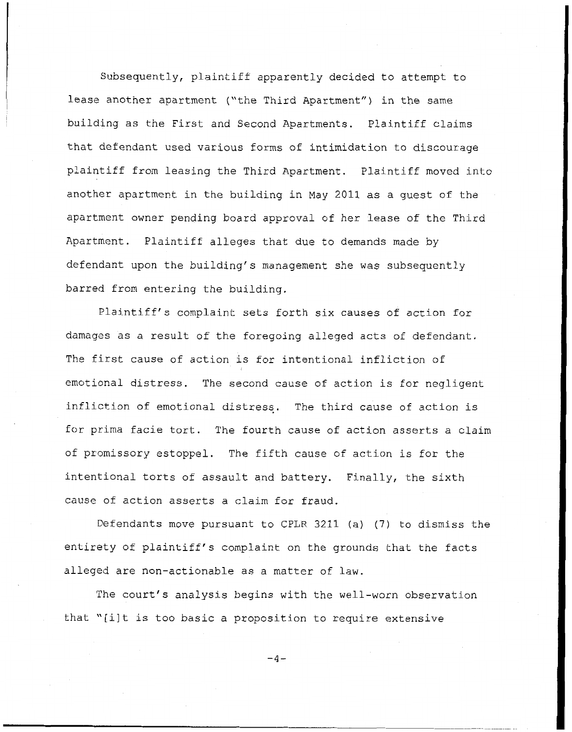Subsequently, plaintiff apparently decided to attempt to lease another apartment ("the Third Apartment") in the same building as the First and Second Apartments. Plaintiff claims that defendant used various forms of intimidation to discourage plaintiff from leasing the Third Apartment. Plaintiff moved into another apartment in the building in May 2011 as a guest of the apartment owner pending board approval of her **lease of** the **Third**  Apartment. Plaintiff alleges that due to demands made by defendant upon the building's management she was subsequently barred from entering **the** building.

Plaintiff's complaint sets forth six **causes** of action for damages as a result of the foregoing alleged acts of defendant. The first cause of action is for intentional infliction of emotional distress. The second cause of action is for negligent infliction **of** emotional distresq. The third cause of action is for prima facie tort. The fourth cause of action asserts a claim of promissory estoppel. The fifth cause of action is for the intentional torts of assault and battery. Finally, the sixth cause of action asserts a claim for fraud.

Defendants move pursuant to CPLR 3211 (a) (7) to dismiss the entirety of plaintiff's complaint on the grounds that the **facts**  alleged are non-actionable as a matter of law.

The court's analysis begins with the well-worn observation that "[ilt is too basic a proposition to require extensive

 $-4-$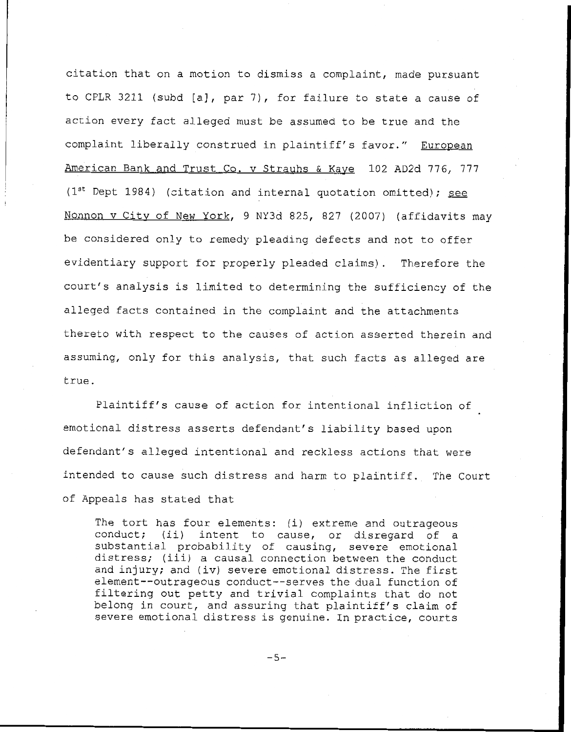citation that on a motion to dismiss a complaint, **made** pursuant to CPLR 3211 (subd [a], par 7), for failure to state a cause of action every fact alleged must be assumed to **be** true and the complaint liberally construed in plaintiff's favor." European American Bank and Trust Co. v Strauhs & Kave 102 AD2d 776, 777 (lSt Dept 1984) (citation and internal quotation omitted); *see*  Nonnon v City of New York, 9 NY3d 825, 827 (2007) (affidavits may be considered only to remedy pleading defects **and** not **to** offer evidentiary support for properly pleaded claims). Therefore the court's analysis is limited to determining the sufficiency of the alleged facts contained in the complaint and the attachments thereto with respect to the causes of action asserted therein and assuming, only for this analysis, that such facts as alleged **are**  true.

Plaintiff's cause of action for intentional infliction of emotional distress asserts defendant's liability based upon defendant's **alleged** intentional and reckless actions that were intended to cause such distress and harm to plaintiff, The Court of Appeals has stated that

The tort has four elements: (i) extreme and outrageous conduct; (ii) intent to cause, or disregard of a substantial probability of causing, severe emotional distress; (iii) a causal connection between the conduct and injury; and (iv) **severe** emotional distress. The first element--outrageous conduct--serves the dual function of filtering out **petty** and trivial complaints that do not belong in court, and assuring that plaintiff's claim of severe emotional distress is genuine. In practice, courts

 $-5-$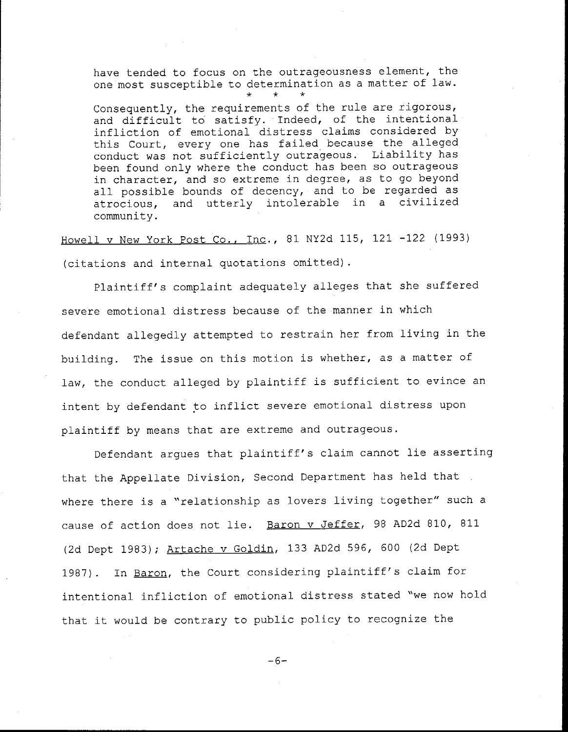have tended to focus on the outrageousness element, the one most susceptible to determination as a matter of law.<br>\* \* \* \*

Consequently, the requirements of the rule are rigorous, and difficult to satisfy. Indeed, of the intentional infliction of emotional distress claims considered by this Court, every one has failed because the alleged conduct was not sufficiently outrageous. **Liability** has been found only where the conduct has been *so* outrageous in character, and so extreme in degree, as to go beyond all **possible** bounds of decency, and to **be** regarded as atrocious, and utterly intolerable in a civilized community .

Howell v New **York** Post Co., Inc., 81 NY2d 115, **121** -122 (1993) (citations and internal quotations omitted).

Plaintiff's complaint adequately alleges that she suffered severe emotional distress because of the manner in which defendant allegedly attempted to restrain her from living in the building. The issue on this motion is whether, as a matter of law, the conduct alleged by plaintiff is sufficient to evince an intent by defendant *\$0* inflict severe emotional **distress** upon plaintiff by means that are extreme and outrageous.

Defendant argues that plaintiff's claim cannot lie asserting that the Appellate Division, Second Department has **held** that , where there is a "relationship as lovers living together" such a cause of action does not lie. Baron v Jeffer, 98 AD2d 810, 811 (2d Dept 1983); Artache v Goldin, **133** AD2d 596, 600 (2d Dept 1987). In Baron, the Court considering plaintiff's claim for intentional infliction of emotional distress stated "we now hold that it would **be** contrary to public policy to recognize the

*-6-*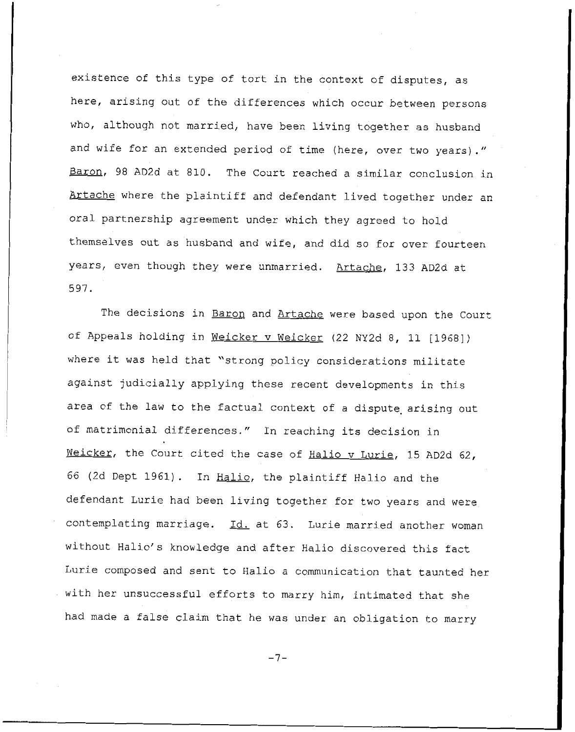existence of this type of tort in the context of disputes, as here, arising out of the differences which occur between persons who, although not married, have been living together as **husband**  and wife for an extended period of time (here, over two years)." Baron, 98 AD2d at 810. The Court reached a similar conclusion in Artache where the plaintiff and defendant lived together under an oral partnership agreement under which they agreed to hold themselves out as husband and wife, and **did** so for over fourteen years, even though they were unmarried. Artache, 133 AD2d at 597.

The decisions in Baron and Artache were based upon the Court of Appeals holding in Weicker v Weicker (22 NY2d 8, 11 [1968]) where it was held that "strong policy considerations militate against judicially applying these recent developments in this area of the law to the factual context of a dispute arising out Of matrimonial differences." In reaching its decision in Meicker, the Court cited the case of Halio v Lurie, 15 AD2d 62, 66 (2d Dept 1961). In Halio, the plaintiff Halio and the defendant Lurie had been living together for two years and were contemplating marriage. Id. at 63. Lurie married another woman without Halio's knowledge and after Halio discovered **this** fact Lurie composed and sent to Halio a communication that taunted her with her unsuccessful efforts to marry him, intimated that she had made a false claim that he was under an obligation to marry

-7-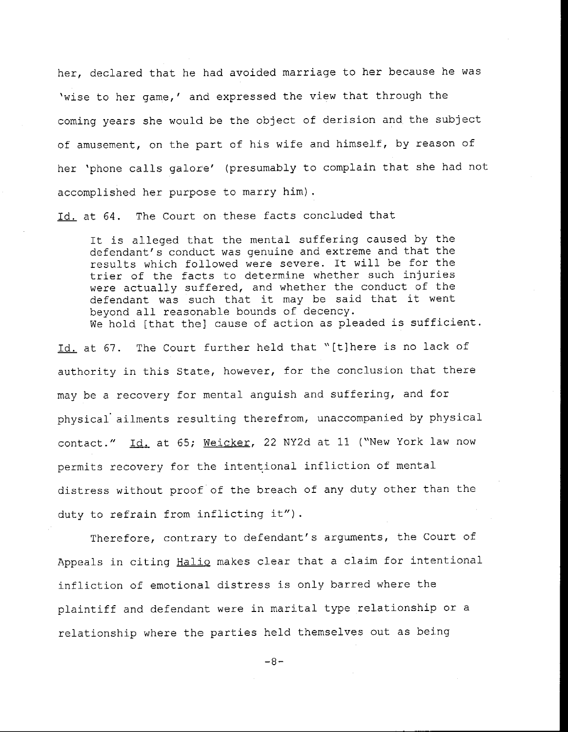her, declared that he had avoided marriage to her because he was 'wise to her game,' and expressed the view that through the coming years she would **be** the object of derision and the subject of amusement, on the part of his wife and himself, by reason of her 'phone calls galore' (presumably to complain that she had not accomplished her purpose to marry him).

Id. at 64. The Court on these facts concluded that

It is alleged that the mental suffering caused by the defendant's conduct was genuine and extreme and that the results which followed were severe. It will be for the trier of the facts to determine whether such injuries were actually suffered, and whether the conduct of the defendant was such that it may be said that it went beyond all reasonable bounds of decency. We hold [that the] cause of action as pleaded is sufficient.

Id. at 67. The Court further held that "[t]here is no lack of authority in this State, however, for the conclusion that there may be a recovery for mental anguish and suffering, and for physical' ailments resulting therefrom, unaccompanied by physical may be a recovery for mental anguish and suffering, and for<br>physical ailments resulting therefrom, unaccompanied by physical<br>contact." <u>Id.</u> at 65; <u>Weicker</u>, 22 NY2d at 11 ("New York law now permits recovery for the intentional infliction of mental distress without proof of the breach of any duty other than the duty to refrain from inflicting it").

Therefore, contrary to defendant's arguments, the Court of Appeals in citing Halio makes clear that a claim for intentional infliction of emotional distress is only barred where the plaintiff and defendant **were** in marital type relationship or a relationship where the parties held themselves out as being

-8-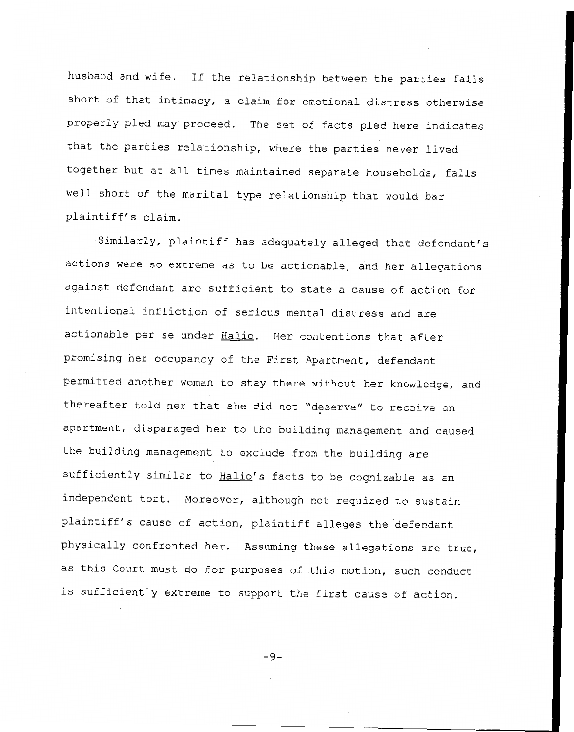husband and wife. If the relationship between the parties falls short of that intimacy, a claim for emotional distress otherwise properly pled may proceed. The set of facts pled here indicates that the parties relationship, where the parties never lived together but at all times maintained separate households, falls well short of the marital type relationship that would bar plaintiff's claim.

Similarly, plaintiff has adequately alleged that defendant's actions were so extreme as to be actionable, and her allegations against defendant are sufficient to state a cause of action for intentional infliction of serious mental distress and are actionable per se under <u>Halio</u>. Her contentions that after promising her occupancy of the First Apartment, defendant permitted another woman to stay there without her knowledge, and thereafter told her that she did not ''deserve'' to receive an apartment, disparaged her to the building management and caused the building management to exclude from the building are sufficiently similar to Halio's facts to **be** cognizable as an independent tort. Moreover, although not required to sustain plaintiff's cause of action, plaintiff alleges the defendant physically confronted her. Assuming these allegations are true, as this Court must do for **purposes** of this motion, such conduct is sufficiently extreme to support the first cause of action.

-9-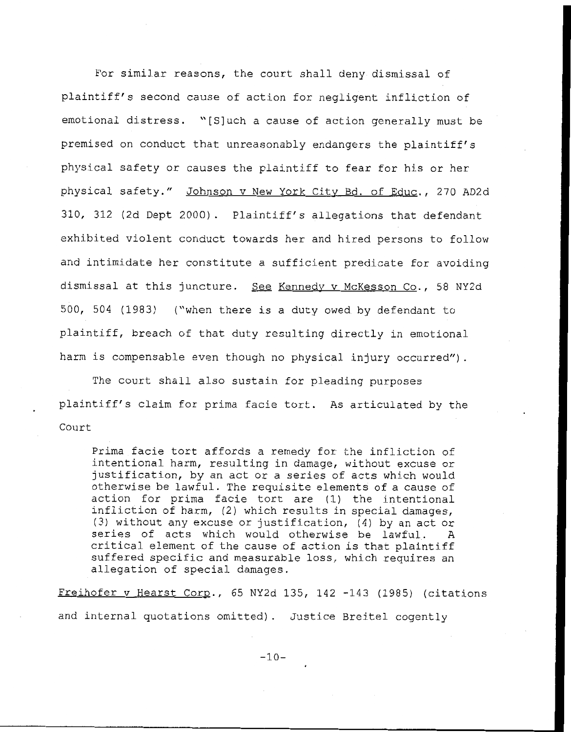For similar reasons, the court shall deny dismissal of plaintiff's second cause of action for negligent infliction of emotional distress. "[Sluch a cause of action generally must **be**  premised on conduct that unreasonably endangers the plaintiff's physical safety or causes the plaintiff to fear for his or her physical safety." Johnson v New York City Bd. of Educ., 270 AD2d 310, 312 (2d Dept 2000). Plaintiff's allegations that defendant exhibited violent conduct towards her and hired persons to follow and intimidate her constitute a sufficient predicate for avoiding dismissal at this juncture. See Kennedy v McKesson Co., 58 NY2d 500, 504 **(1983)** ("when there is a duty owed by defendant to plaintiff, breach of that duty resulting directly in emotional harm is compensable even though no physical injury occurred").

The court shall **also** sustain for pleading **purposes**  plaintiff's claim for prima facie tort. As articulated by the Court

Prima facie tort affords a remedy for the infliction of intentional harm, resulting in damage, without excuse or justification, by an act or a series of acts which would otherwise be lawful. The requisite elements of a cause of action for prima facie tort **are** (1) the intentional infliction of harm, (2) which results in special damages, (3) without any excuse or justification, (4) by an act or series of acts which would otherwise **be** lawful. A critical element of the cause of action is that plaintiff suffered specific and measurable loss, which requires an allegation of special damages.

Freihofer v Hearst Corp., 65 NY2d 135, 142 -143 (1985) (citations and internal quotations omitted). Justice Breitel cogently

 $-10-$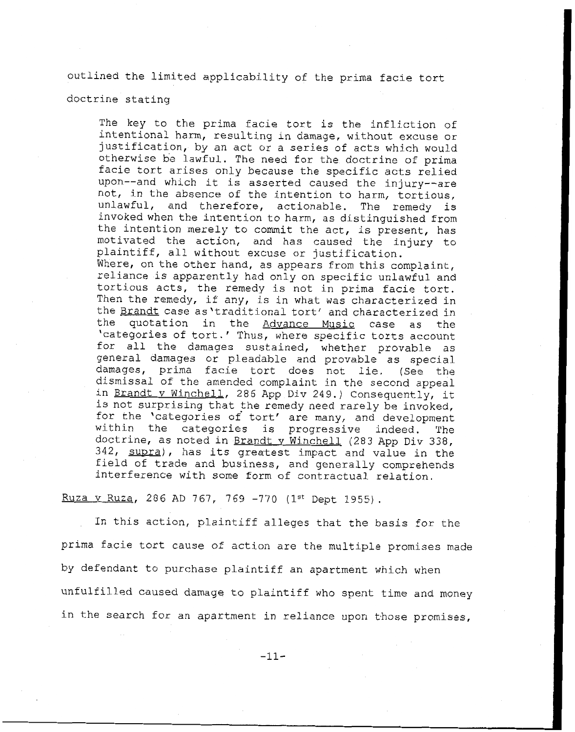outlined the limited applicability of the prima facie tort

doctrine stating

The key to the prima facie tort is the infliction of intentional harm, resulting in damage, without excuse or justification, by an act or a series of acts which would otherwise be lawful. The need for the doctrine of prima facie tort arises only because the specific acts relied upon--and which it is asserted caused the injury--are not, in the absence **of** the intention to harm, tortious, unlawful, and therefore, actionable. The remedy is invoked when the intention to harm, as distinguished from the intention merely to commit the act, is present, has motivated the action, and has caused the injury to plaintiff, all without excuse or justification. Where, on the other hand, as appears from this complaint, reliance is apparently had only on specific unlawful and tortious acts, the remedy is not in prima facie tort. Then the remedy, if any, is in what was characterized in the <u>Brandt</u> case as 'traditional tort' and characterized in<br>the quotation in the Advance Music case as the quotation in the Advance Music case as the 'categories of tort.' Thus, where specific torts account for a11 the damages sustained, whether provable as general damages or pleadable and provable as special damages, prima facie tort does not lie. *(See* the dismissal of the amended complaint in the second appeal in Brandt v Winchell, 286 App Div 249.) Consequently, it is not surprising that the remedy need rarely be invoked, for the 'categories of tort' are many, and development within the categories is progressive indeed. The doctrine, as noted in Brandt v Winchell (283 App Div 338, 342, supra), has its greatest impact and value in the field of trade and business, and generally **comprehends**  interference with Some form of contractual relation.

Ruza v Ruza, 286 AD 767, 769 -770 (1st Dept 1955).

In this action, plaintiff alleges that the basis for the prima facie tort cause of action are the multiple promises made by defendant to purchase plaintiff an apartment which when unfulfilled caused damage to plaintiff who spent time and money in the search for an apartment in reliance upon those promises,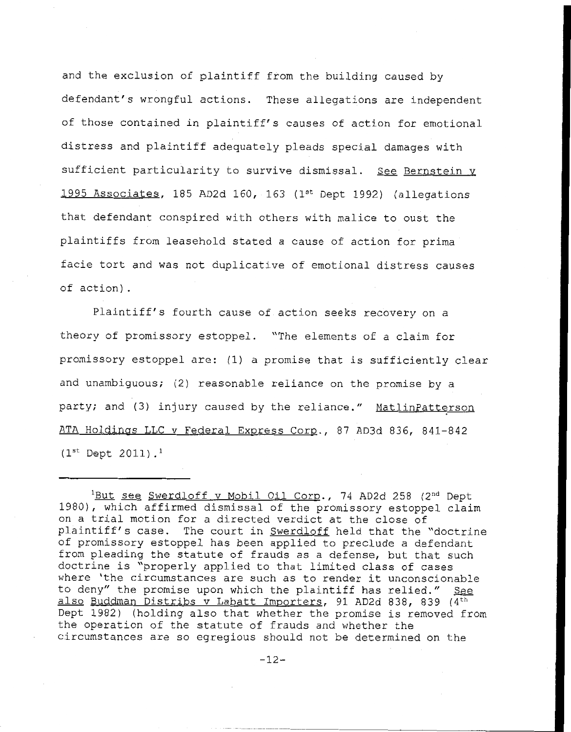and the exclusion of plaintiff from the building caused by defendant's wrongful actions. These allegations are independent of those contained in plaintiff's causes of action for emotional distress and plaintiff adequately pleads special damages with sufficient particularity to survive dismissal. See Bernstein y 1995 Associates, 185 AD2d 160, 163 (1<sup>st</sup> Dept 1992) (allegations that defendant conspired with others with **malice** to **oust** the plaintiffs from leasehold stated a cause of action for prima facie tort and was not duplicative of emotional distress causes of action),

Plaintiff's fourth cause of action seeks recovery on a theory of promissory estoppel. "The elements of a claim for promissory estoppel are: **(1)** a promise that is sufficiently clear and unambiguous; (2) reasonable reliance on the promise by a party; and (3) injury caused by the reliance." MatlinPatterson ATA Holdings LLC v Federal Express Corp., 87 AD3d 836, 841-842  $(1^{st}$  Dept 2011).<sup>1</sup>

<sup>&</sup>lt;sup>1</sup>But see Swerdloff v Mobil Oil Corp., 74 AD2d 258 (2<sup>nd</sup> Dept 1980), which affirmed dismissal of the promissory estoppel claim on a trial motion for a directed verdict at the close of plaintiff's case. The court in Swerdloff held that the "doctrine of promissory estoppel has been applied to preclude **a** defendant from pleading the statute of frauds as a defense, **but** that such doctrine is "properly applied to that limited class **of** cases where 'the circumstances are such as to render it unconscionable to deny" the promise upon which the plaintiff has relied." *See*  also Buddman Distribs v Labatt Importers, 91 AD2d 838, **839** (4th Dept 1982) (holding also that whether the promise is removed from the operation of the statute of frauds and whether the circumstances are so egregious should not be determined on the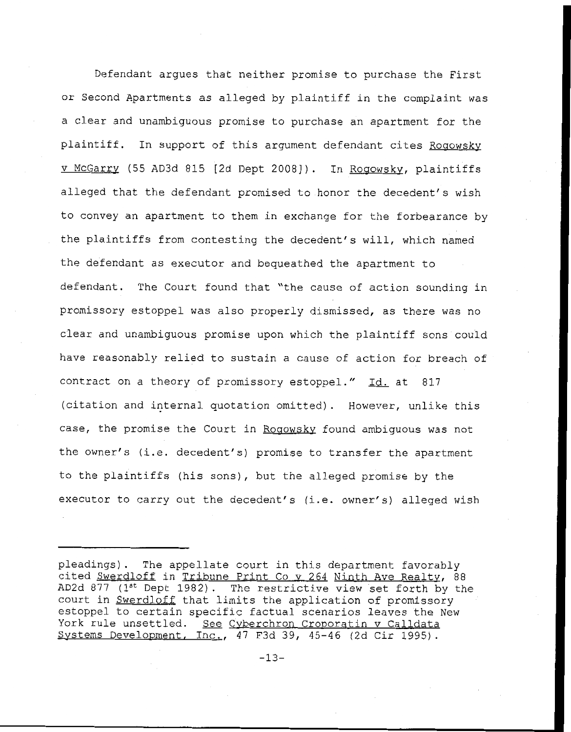Defendant argues that neither promise to purchase the First or Second Apartments as alleged by plaintiff in the complaint was a clear and unambiguous promise to purchase an apartment for the plaintiff. In support of this argument defendant cites Rogowsky v McGarry (55 AD3d 815 [2d Dept 2008]). In Rogowsky, plaintiffs alleged that the defendant promised to honor the decedent's wish to convey an apartment to them in exchange for the forbearance by the plaintiffs from contesting the decedent's will, which named the defendant as executor and bequeathed the apartment to defendant. The Court found that "the cause of action sounding in promissory estoppel was also properly dismissed, as there was no clear and unambiguous promise upon which the plaintiff sons could have reasonably relied to sustain a cause of action for breach of contract on a theory of promissory estoppel." Id. at 817 (citation and internal quotation omitted). However, unlike this case, the promise the Court in Rogowsky found ambiguous was not the owner's (i.e. decedent's) promise to transfer the **apartment**  to the plaintiffs (his sons), but the alleged promise by the executor to carry out the decedent's (i.e. owner's) alleged wish

pleadings). The appellate court in this department favorably cited Swerdloff in Tribune Print Co v 264 Ninth Ave Realty, 88 AD2d <sup>877</sup>**(lst** Dept 1982). The restrictive view set forth by the court in Swerdloff that limits the application of promissory estoppel to certain specific factual scenarios leaves the New York rule unsettled. See Cyberchron Croporatin v Calldata Systems Development, Inc., 47 F3d 39, 45-46 (2d Cir 1995).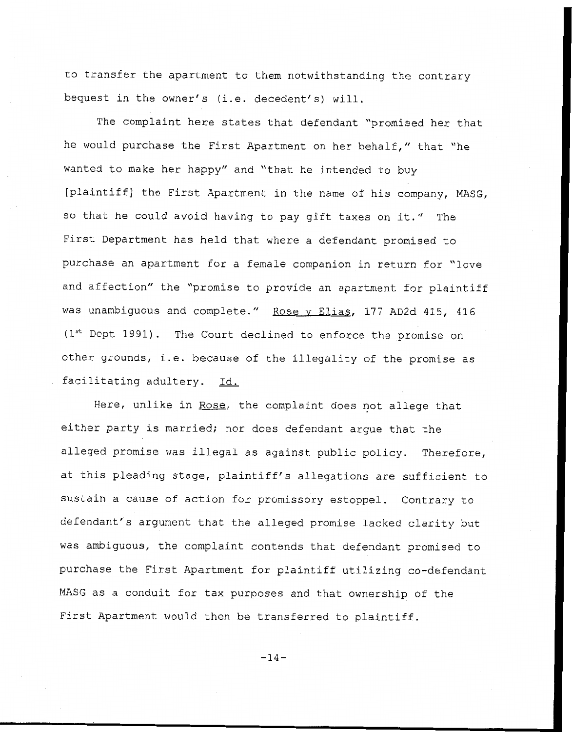to transfer the apartment to them notwithstanding the contrary bequest in the owner's (i.e. decedent's) will.

The complaint here states that defendant "promised **her** that he would purchase the First Apartment on her behalf," that "he wanted to make her happy" and "that he intended to buy [plaintiff] the First Apartment in the name of his company, MASG, so that he could avoid having to pay gift taxes on it." The First Department has held that where a defendant promised to purchase an apartment for a female companion in return for "love and affection" the "promise to provide an apartment for plaintiff was unambiguous and complete." Rose v Elias, 177 AD2d 415, 416 **(Ist** Dept 1991). The Court declined to enforce the promise on other grounds, i.e. because of the illegality of the promise as facilitating adultery. Id.

Here, unlike in Rose, the complaint does not allege that either party is married; nor does defendant argue that the alleged promise was illegal as against public policy. Therefore, at this pleading stage, plaintiff's allegations are sufficient to sustain a cause of action for promissory estoppel. Contrary *to*  defendant's argument that the alleged promise lacked clarity but was ambiguous, the complaint contends that defendant promised to purchase the First Apartment for plaintiff utilizing co-defendant MASG as a conduit for tax purposes and that ownership of the First Apartment would then be transferred *to* plaintiff.

 $-14-$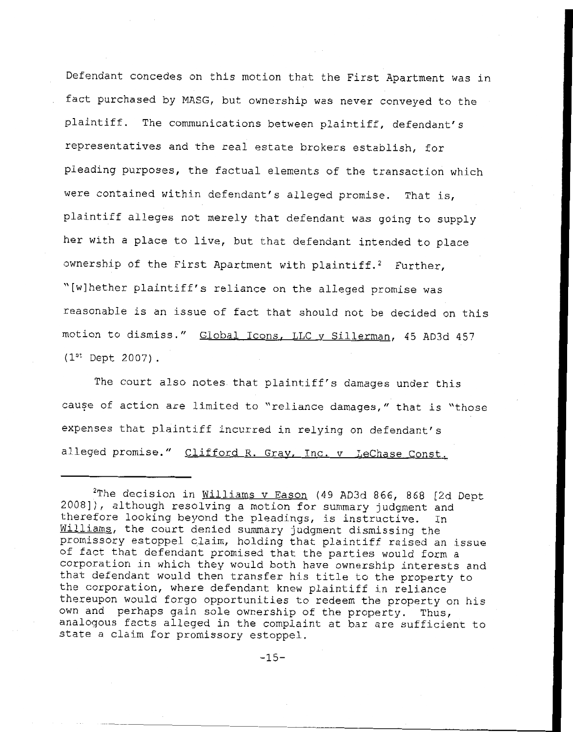Defendant concedes on this motion that the First Apartment was in fact purchased by MASG, **but** ownership was never conveyed to the plaintiff. The communications between plaintiff, defendant's representatives and the real estate brokers establish, for pleading purposes, the factual elements of **the** transaction which were contained within defendant's alleged promise. That is, plaintiff alleges not merely that defendant was going **to** supply her with a place to live, but that defendant intended to place ownership of the First Apartment with plaintiff.<sup>2</sup> Further, "[wlhether plaintiff's reliance on the alleged promise was reasonable is an issue of fact that should not be decided on this motion to dismiss." Global Icons, LLC v Sillerman, 45 **AD3d** 457 **(Ist** Dept 2007).

The court also notes that plaintiff's damages under this cause of action are limited to "reliance damages," that is "those expenses that plaintiff incurred in relying on defendant's alleged promise." Clifford R. Gray, Inc. v LeChase Const.

<sup>2</sup>The decision in Williams v Eason (49 AD3d 866, *868* [Zd Dept 2008]), although resolving a motion for summary judgment and therefore looking beyond the pleadings, **is** instructive. In Williams, the court denied summary judgment dismissing the promissory estoppel claim, holding that plaintiff raised an issue of fact that defendant promised that the parties would form a corporation in which they would both have ownership interests and that defendant would then transfer his title to the property to the corporation, where defendant knew plaintiff in reliance thereupon would forgo opportunities to redeem the property on his own and perhaps gain sole ownership of the property. Thus, analogous facts alleged in the complaint at bar are sufficient to state a claim for promissory estoppel.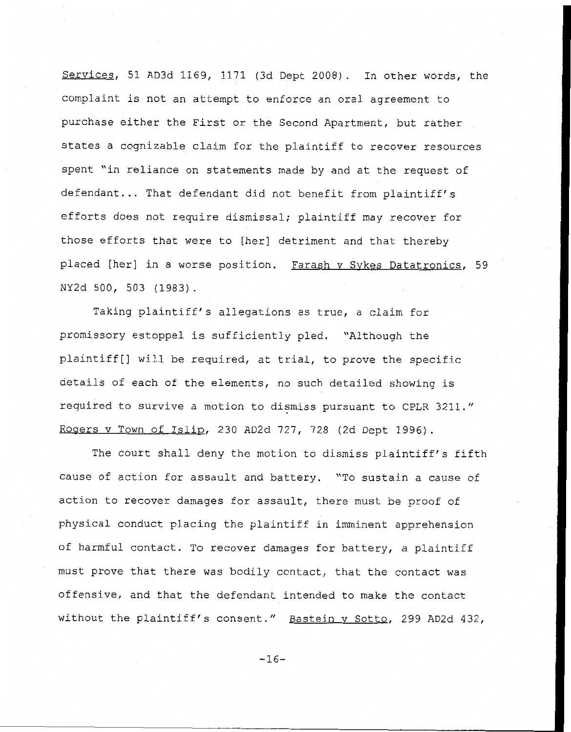Services, 51 AD3d 1169, 1171 (3d Dept 2008). In other words, the complaint is not an attempt to enforce an oral agreement to purchase either the First or the Second Apartment, but rather states a cognizable claim for the plaintiff to recover resources spent "in reliance on statements made **by** and **at** the request of defendant... That defendant did not benefit from plaintiff's efforts does not require dismissal; plaintiff may recover for those efforts that were to [her] detriment and that thereby placed [her] in a worse position. Farash v Sykes Datatronics, 59 **NY2d** 500, 503 **(1983).** 

Taking plaintiff's allegations as true, a claim for promissory estoppel is sufficiently pled. "Although the plaintiff[] will **be** required, at trial, to prove the specific details of each of the elements, no such detailed showing is required to survive a motion to dismiss pursuant to CPLR 3211." Rogers v Town of Islip, 230 AD2d 727, 728 (2d Dept 1996).

The court shall deny the motion to dismiss plaintiff's fifth cause of action for **assault** and battery. "TO sustain a cause of action to recover damages for assault, there must **be** proof of physical conduct placing the plaintiff in imminent apprehension of harmful contact. To recover damages for battery, a plaintiff must prove that there was bodily contact, that the contact was offensive, and that the defendant intended to make the contact without the plaintiff's consent." Bastein v Sotto, 299 AD2d 432,

 $-16-$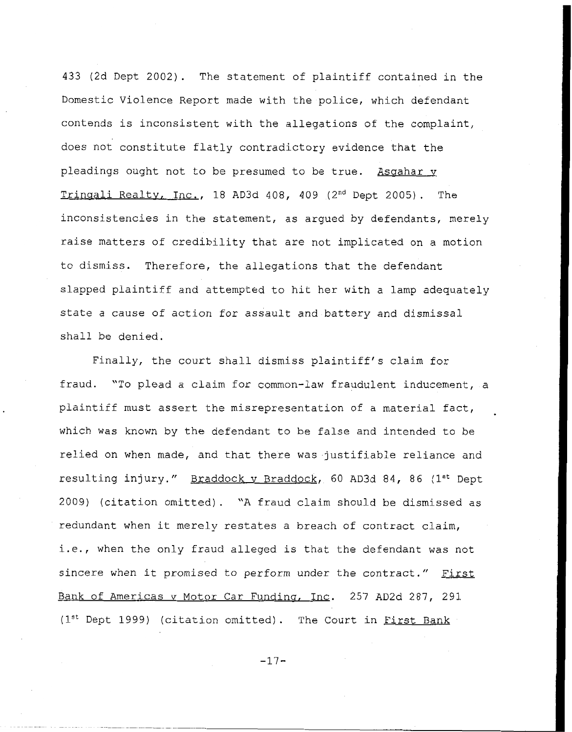**433** (2d Dept 2002). The statement of plaintiff contained in the Domestic Violence Report made with the police, which defendant contends is inconsistent with the allegations of the complaint, does not constitute flatly contradictory evidence that the pleadings ought not to be presumed to be true. Asgahar v Trinaali Realtv, Inc., 18 AD3d 408, 409 (2nd Dept 2005). The inconsistencies in the statement, as argued by defendants, merely raise matters of credibility that are not implicated on a motion to dismiss. Therefore, the allegations that the defendant slapped plaintiff and attempted to hit her with a lamp adequately state a cause of action *for* assault and battery and **dismissal**  shall **be** denied.

Finally, the court shall dismiss plaintiff's claim for fraud. "To plead a claim for common-law fraudulent inducement, a plaintiff must assert the misrepresentation of a material fact, . which was known **by** the defendant to be false and intended to be relied on when **made,** and that there was justifiable reliance and resulting injury." Braddock v Braddock, 60 AD3d 84, 86 (1st Dept 2009) (citation omitted). "A fraud claim should be dismissed as redundant when it merely restates a breach of contract claim, i.e., when the only fraud alleged is that the defendant was not sincere **when** it promised *to* perform under the contract." First Bank of Americas v Motor Car Funding, Inc. 257 AD2d 287, 291 (1<sup>st</sup> Dept 1999) (citation omitted). The Court in First Bank

 $-17-$ 

.. . . .. . . .. - . - -. . . \_ . .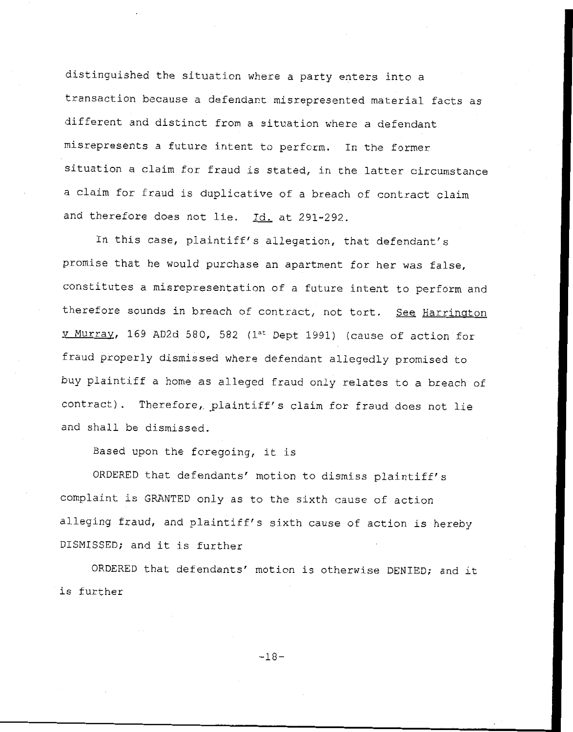distinguished the situation where a party enters into a transaction because a defendant misrepresented material facts as different and distinct from a situation where **a** defendant misrepresents a future intent to perform. In the former situation a claim for fraud is stated, in the latter circumstance a claim for fraud is duplicative of a breach of contract claim and therefore does not lie. Id. at 291-292.

In this **case,** plaintiff's allegation, that defendant's **promise** that he would purchase an apartment for her was false, constitutes a misrepresentation of a future intent to perform and therefore sounds in breach of contract, not tort. See Harrington v Murrav, 169 AD2d 580, 582 **(lst** Dept 1991) (cause **of** action for fraud properly dismissed where defendant allegedly **promised** to buy plaintiff a home as alleged fraud only relates to a breach of contract). Therefore, plaintiff's claim for fraud does not lie and shall be dismissed.

Based upon the foregoing, it is

ORDERED that defendants' motion to dismiss plaintiff's complaint is GRANTED only as to the sixth cause of action alleging fraud, and plaintiff's sixth cause of action is hereby DISMISSED; and it is further

ORDERED that defendants' motion is otherwise DENIED; and it is further

**-18-**